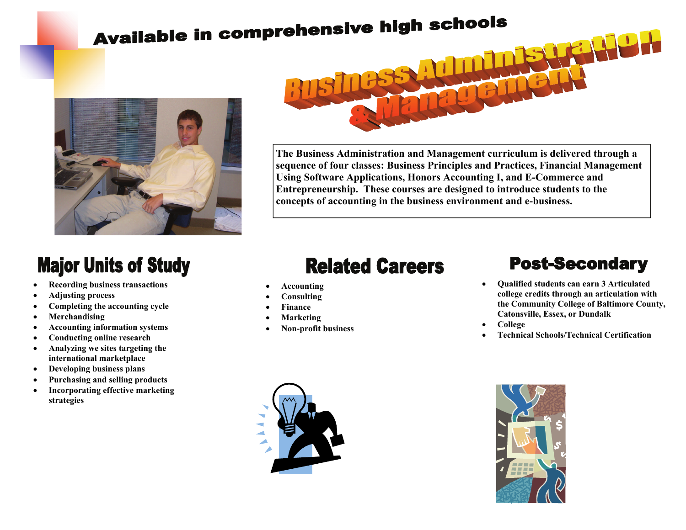# **Available in comprehensive high schools**





**The Business Administration and Management curriculum is delivered through a sequence of four classes: Business Principles and Practices, Financial Management Using Software Applications, Honors Accounting I, and E-Commerce and Entrepreneurship. These courses are designed to introduce students to the concepts of accounting in the business environment and e-business.** 

### **Major Units of Study**

- **Recording business transactions**
- **Adjusting process**
- **Completing the accounting cycle**
- **Merchandising**
- **Accounting information systems**
- **Conducting online research**
- **Analyzing we sites targeting the international marketplace**
- **Developing business plans**
- **Purchasing and selling products**
- **Incorporating effective marketing strategies**

## **Related Careers**

- **Accounting**
- **Consulting**
- **Finance**
- **Marketing**
- **Non-profit business**

#### **Post-Secondary**

- **Qualified students can earn 3 Articulated college credits through an articulation with the Community College of Baltimore County, Catonsville, Essex, or Dundalk**
- **College**
- **Technical Schools/Technical Certification**